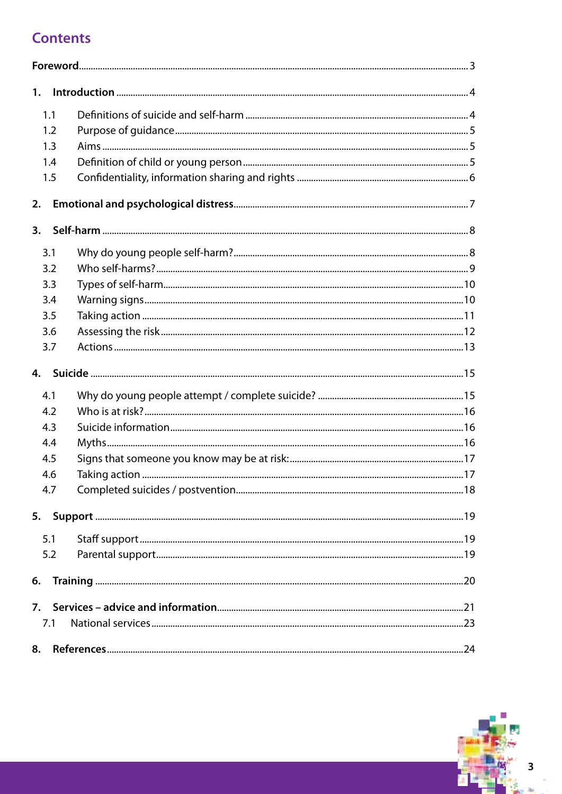# **Contents**

| 1.  |                                                                                                                |  |
|-----|----------------------------------------------------------------------------------------------------------------|--|
| 1.1 |                                                                                                                |  |
| 1.2 |                                                                                                                |  |
| 1.3 |                                                                                                                |  |
| 1.4 |                                                                                                                |  |
| 1.5 |                                                                                                                |  |
| 2.  |                                                                                                                |  |
| 3.  |                                                                                                                |  |
| 3.1 |                                                                                                                |  |
| 3.2 |                                                                                                                |  |
| 3.3 |                                                                                                                |  |
| 3.4 |                                                                                                                |  |
| 3.5 |                                                                                                                |  |
| 3.6 |                                                                                                                |  |
| 3.7 |                                                                                                                |  |
| 4.  |                                                                                                                |  |
| 4.1 |                                                                                                                |  |
| 4.2 | 16 metab. 2010. 2010. 2010. 2010. 2010. 2010. 2010. 2010. 2010. 2010. 2010. 2010. 2010. 2010. 2010. 2010. 2010 |  |
| 4.3 |                                                                                                                |  |
| 4.4 |                                                                                                                |  |
| 4.5 |                                                                                                                |  |
| 4.6 |                                                                                                                |  |
| 4.7 |                                                                                                                |  |
| 5.  |                                                                                                                |  |
| 5.1 |                                                                                                                |  |
| 5.2 |                                                                                                                |  |
| 6.  |                                                                                                                |  |
|     |                                                                                                                |  |
| 7.1 |                                                                                                                |  |
| 8.  |                                                                                                                |  |

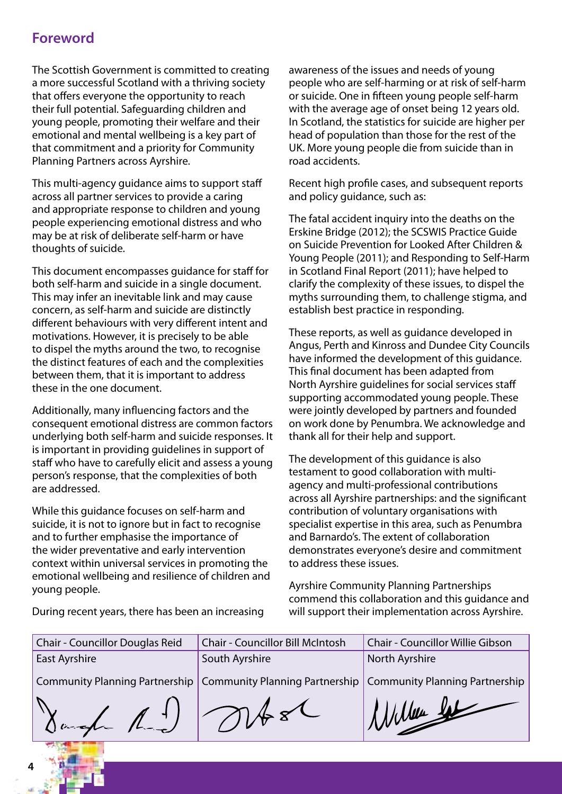# **Foreword**

The Scottish Government is committed to creating a more successful Scotland with a thriving society that offers everyone the opportunity to reach their full potential. Safeguarding children and young people, promoting their welfare and their emotional and mental wellbeing is a key part of that commitment and a priority for Community Planning Partners across Ayrshire.

This multi-agency guidance aims to support staff across all partner services to provide a caring and appropriate response to children and young people experiencing emotional distress and who may be at risk of deliberate self-harm or have thoughts of suicide.

This document encompasses guidance for staff for both self-harm and suicide in a single document. This may infer an inevitable link and may cause concern, as self-harm and suicide are distinctly different behaviours with very different intent and motivations. However, it is precisely to be able to dispel the myths around the two, to recognise the distinct features of each and the complexities between them, that it is important to address these in the one document.

Additionally, many influencing factors and the consequent emotional distress are common factors underlying both self-harm and suicide responses. It is important in providing guidelines in support of staff who have to carefully elicit and assess a young person's response, that the complexities of both are addressed.

While this guidance focuses on self-harm and suicide, it is not to ignore but in fact to recognise and to further emphasise the importance of the wider preventative and early intervention context within universal services in promoting the emotional wellbeing and resilience of children and young people.

awareness of the issues and needs of young people who are self-harming or at risk of self-harm or suicide. One in fifteen young people self-harm with the average age of onset being 12 years old. In Scotland, the statistics for suicide are higher per head of population than those for the rest of the UK. More young people die from suicide than in road accidents.

Recent high profile cases, and subsequent reports and policy guidance, such as:

The fatal accident inquiry into the deaths on the Erskine Bridge (2012); the SCSWIS Practice Guide on Suicide Prevention for Looked After Children & Young People (2011); and Responding to Self-Harm in Scotland Final Report (2011); have helped to clarify the complexity of these issues, to dispel the myths surrounding them, to challenge stigma, and establish best practice in responding.

These reports, as well as guidance developed in Angus, Perth and Kinross and Dundee City Councils have informed the development of this guidance. This final document has been adapted from North Ayrshire guidelines for social services staff supporting accommodated young people. These were jointly developed by partners and founded on work done by Penumbra. We acknowledge and thank all for their help and support.

The development of this guidance is also testament to good collaboration with multiagency and multi-professional contributions across all Ayrshire partnerships: and the significant contribution of voluntary organisations with specialist expertise in this area, such as Penumbra and Barnardo's. The extent of collaboration demonstrates everyone's desire and commitment to address these issues.

Ayrshire Community Planning Partnerships commend this collaboration and this guidance and will support their implementation across Ayrshire.

During recent years, there has been an increasing

| Chair - Councillor Douglas Reid                                                                  | <b>Chair - Councillor Bill McIntosh</b> | <b>Chair - Councillor Willie Gibson</b> |  |
|--------------------------------------------------------------------------------------------------|-----------------------------------------|-----------------------------------------|--|
| <b>East Ayrshire</b>                                                                             | South Ayrshire                          | North Ayrshire                          |  |
| Community Planning Partnership   Community Planning Partnership   Community Planning Partnership |                                         |                                         |  |
| Dangh R.J Mrsl                                                                                   |                                         | Willen Se                               |  |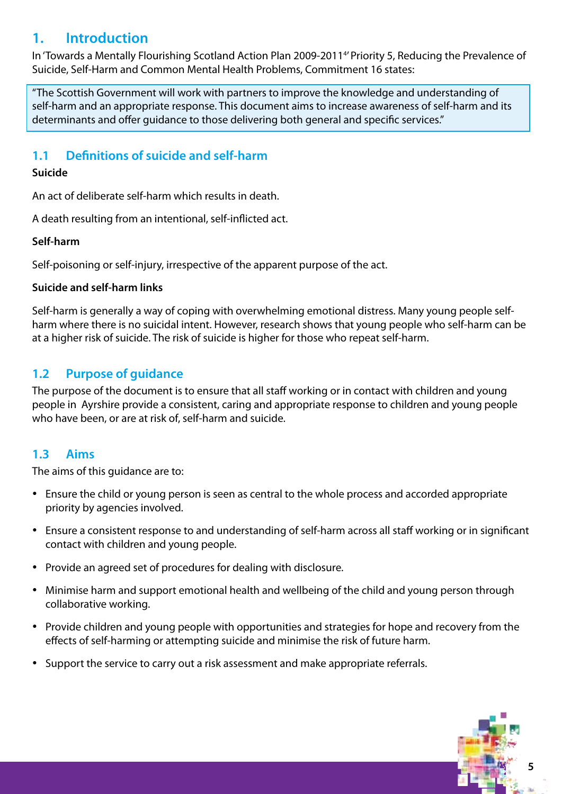# **1. Introduction**

In 'Towards a Mentally Flourishing Scotland Action Plan 2009-20114 ' Priority 5, Reducing the Prevalence of Suicide, Self-Harm and Common Mental Health Problems, Commitment 16 states:

"The Scottish Government will work with partners to improve the knowledge and understanding of self-harm and an appropriate response. This document aims to increase awareness of self-harm and its determinants and offer guidance to those delivering both general and specific services."

## **1.1 Definitions of suicide and self-harm**

### **Suicide**

An act of deliberate self-harm which results in death.

A death resulting from an intentional, self-inflicted act.

### **Self-harm**

Self-poisoning or self-injury, irrespective of the apparent purpose of the act.

### **Suicide and self-harm links**

Self-harm is generally a way of coping with overwhelming emotional distress. Many young people selfharm where there is no suicidal intent. However, research shows that young people who self-harm can be at a higher risk of suicide. The risk of suicide is higher for those who repeat self-harm.

### **1.2 Purpose of guidance**

The purpose of the document is to ensure that all staff working or in contact with children and young people in Ayrshire provide a consistent, caring and appropriate response to children and young people who have been, or are at risk of, self-harm and suicide.

### **1.3 Aims**

The aims of this guidance are to:

- Ensure the child or young person is seen as central to the whole process and accorded appropriate priority by agencies involved.
- Ensure a consistent response to and understanding of self-harm across all staff working or in significant contact with children and young people.
- Provide an agreed set of procedures for dealing with disclosure.
- Minimise harm and support emotional health and wellbeing of the child and young person through collaborative working.
- Provide children and young people with opportunities and strategies for hope and recovery from the effects of self-harming or attempting suicide and minimise the risk of future harm.
- Support the service to carry out a risk assessment and make appropriate referrals.

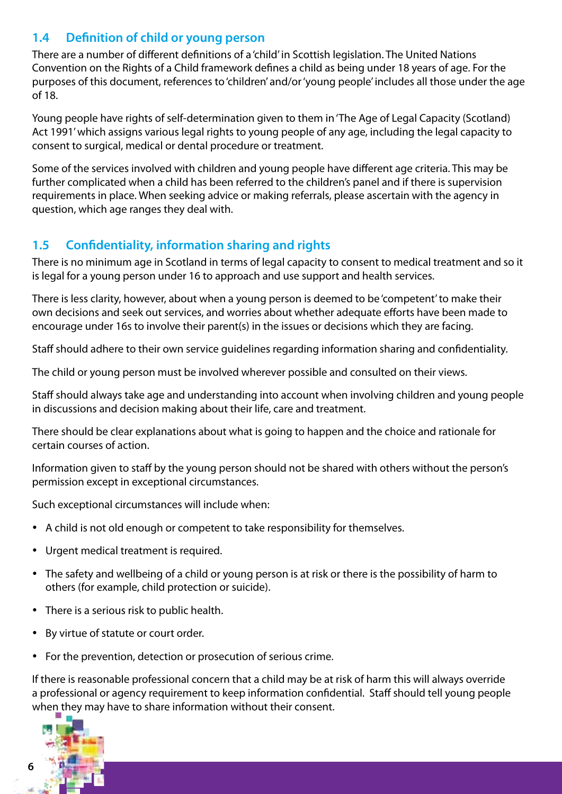# **1.4 Definition of child or young person**

There are a number of different definitions of a 'child' in Scottish legislation. The United Nations Convention on the Rights of a Child framework defines a child as being under 18 years of age. For the purposes of this document, references to 'children' and/or 'young people' includes all those under the age of 18.

Young people have rights of self-determination given to them in 'The Age of Legal Capacity (Scotland) Act 1991' which assigns various legal rights to young people of any age, including the legal capacity to consent to surgical, medical or dental procedure or treatment.

Some of the services involved with children and young people have different age criteria. This may be further complicated when a child has been referred to the children's panel and if there is supervision requirements in place. When seeking advice or making referrals, please ascertain with the agency in question, which age ranges they deal with.

## **1.5 Confidentiality, information sharing and rights**

There is no minimum age in Scotland in terms of legal capacity to consent to medical treatment and so it is legal for a young person under 16 to approach and use support and health services.

There is less clarity, however, about when a young person is deemed to be 'competent' to make their own decisions and seek out services, and worries about whether adequate efforts have been made to encourage under 16s to involve their parent(s) in the issues or decisions which they are facing.

Staff should adhere to their own service guidelines regarding information sharing and confidentiality.

The child or young person must be involved wherever possible and consulted on their views.

Staff should always take age and understanding into account when involving children and young people in discussions and decision making about their life, care and treatment.

There should be clear explanations about what is going to happen and the choice and rationale for certain courses of action.

Information given to staff by the young person should not be shared with others without the person's permission except in exceptional circumstances.

Such exceptional circumstances will include when:

- A child is not old enough or competent to take responsibility for themselves.
- • Urgent medical treatment is required.
- The safety and wellbeing of a child or young person is at risk or there is the possibility of harm to others (for example, child protection or suicide).
- There is a serious risk to public health.
- • By virtue of statute or court order.
- For the prevention, detection or prosecution of serious crime.

If there is reasonable professional concern that a child may be at risk of harm this will always override a professional or agency requirement to keep information confidential. Staff should tell young people when they may have to share information without their consent.



**6**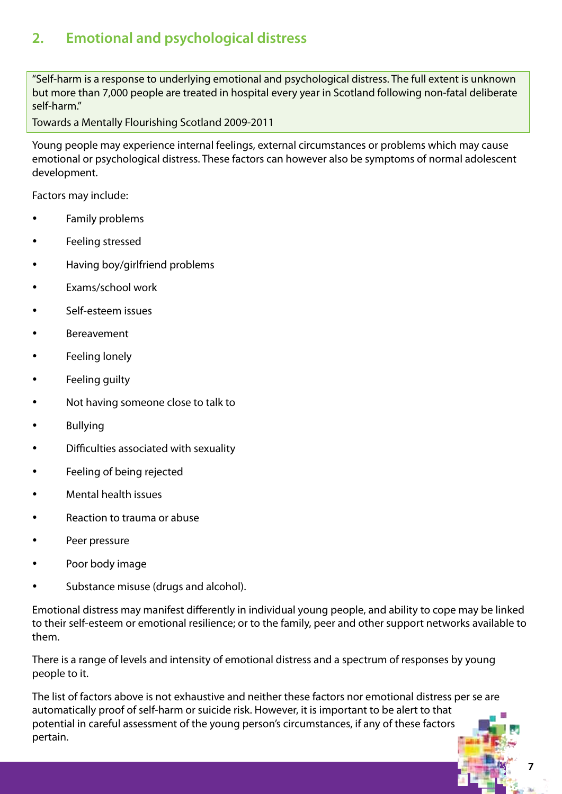# **2. Emotional and psychological distress**

"Self-harm is a response to underlying emotional and psychological distress. The full extent is unknown but more than 7,000 people are treated in hospital every year in Scotland following non-fatal deliberate self-harm."

Towards a Mentally Flourishing Scotland 2009-2011

Young people may experience internal feelings, external circumstances or problems which may cause emotional or psychological distress. These factors can however also be symptoms of normal adolescent development.

Factors may include:

- Family problems
- Feeling stressed
- Having boy/girlfriend problems
- Exams/school work
- Self-esteem issues
- **Bereavement**
- Feeling lonely
- Feeling guilty
- Not having someone close to talk to
- **Bullying**
- • Difficulties associated with sexuality
- • Feeling of being rejected
- **Mental health issues**
- Reaction to trauma or abuse
- Peer pressure
- Poor body image
- Substance misuse (drugs and alcohol).

Emotional distress may manifest differently in individual young people, and ability to cope may be linked to their self-esteem or emotional resilience; or to the family, peer and other support networks available to them.

There is a range of levels and intensity of emotional distress and a spectrum of responses by young people to it.

The list of factors above is not exhaustive and neither these factors nor emotional distress per se are automatically proof of self-harm or suicide risk. However, it is important to be alert to that potential in careful assessment of the young person's circumstances, if any of these factors pertain.

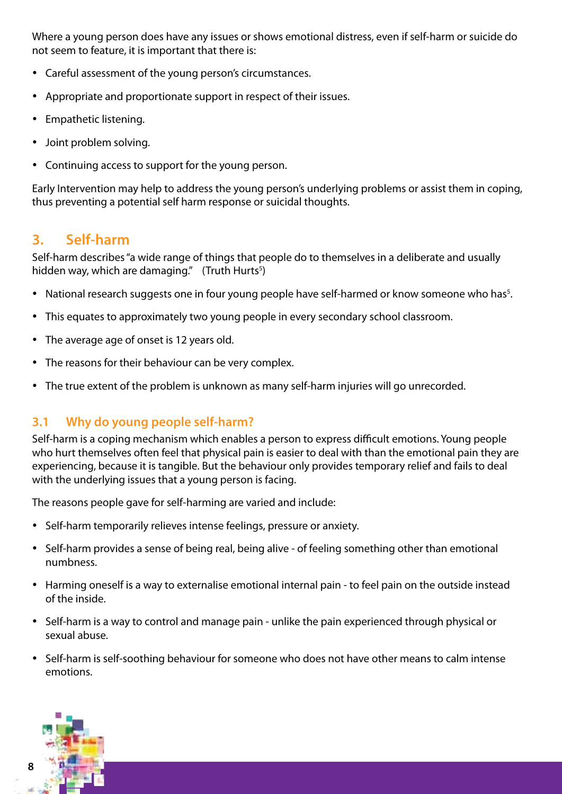Where a young person does have any issues or shows emotional distress, even if self-harm or suicide do not seem to feature, it is important that there is:

- • Careful assessment of the young person's circumstances.
- Appropriate and proportionate support in respect of their issues.
- Empathetic listening.
- Joint problem solving.
- Continuing access to support for the young person.

Early Intervention may help to address the young person's underlying problems or assist them in coping, thus preventing a potential self harm response or suicidal thoughts.

# **3. Self-harm**

Self-harm describes "a wide range of things that people do to themselves in a deliberate and usually hidden way, which are damaging." (Truth Hurts<sup>5</sup>)

- National research suggests one in four young people have self-harmed or know someone who has<sup>5</sup>.
- This equates to approximately two young people in every secondary school classroom.
- The average age of onset is 12 years old.
- The reasons for their behaviour can be very complex.
- The true extent of the problem is unknown as many self-harm injuries will go unrecorded.

### **3.1 Why do young people self-harm?**

Self-harm is a coping mechanism which enables a person to express difficult emotions. Young people who hurt themselves often feel that physical pain is easier to deal with than the emotional pain they are experiencing, because it is tangible. But the behaviour only provides temporary relief and fails to deal with the underlying issues that a young person is facing.

The reasons people gave for self-harming are varied and include:

- Self-harm temporarily relieves intense feelings, pressure or anxiety.
- Self-harm provides a sense of being real, being alive of feeling something other than emotional numbness.
- Harming oneself is a way to externalise emotional internal pain to feel pain on the outside instead of the inside.
- Self-harm is a way to control and manage pain unlike the pain experienced through physical or sexual abuse.
- Self-harm is self-soothing behaviour for someone who does not have other means to calm intense emotions.

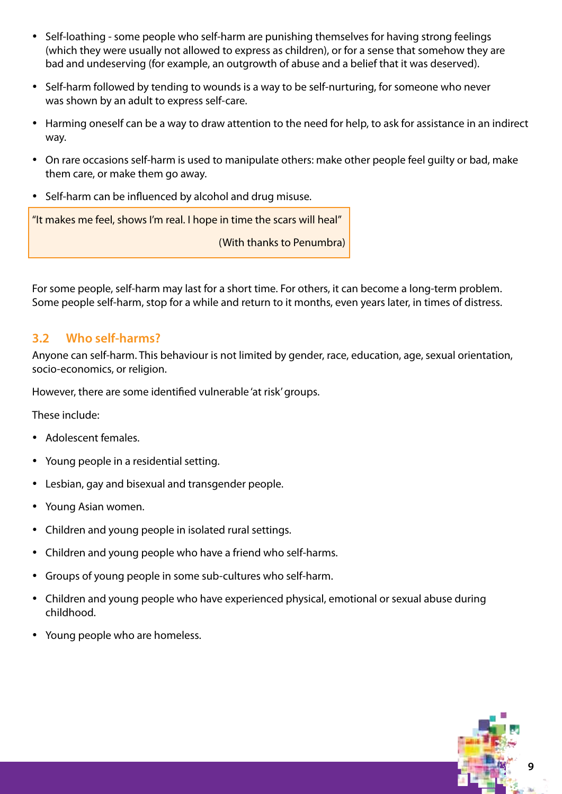- • Self-loathing some people who self-harm are punishing themselves for having strong feelings (which they were usually not allowed to express as children), or for a sense that somehow they are bad and undeserving (for example, an outgrowth of abuse and a belief that it was deserved).
- Self-harm followed by tending to wounds is a way to be self-nurturing, for someone who never was shown by an adult to express self-care.
- Harming oneself can be a way to draw attention to the need for help, to ask for assistance in an indirect way.
- On rare occasions self-harm is used to manipulate others: make other people feel quilty or bad, make them care, or make them go away.
- Self-harm can be influenced by alcohol and drug misuse.

"It makes me feel, shows I'm real. I hope in time the scars will heal"

(With thanks to Penumbra)

For some people, self-harm may last for a short time. For others, it can become a long-term problem. Some people self-harm, stop for a while and return to it months, even years later, in times of distress.

### **3.2 Who self-harms?**

Anyone can self-harm. This behaviour is not limited by gender, race, education, age, sexual orientation, socio-economics, or religion.

However, there are some identified vulnerable 'at risk' groups.

These include:

- • Adolescent females.
- Young people in a residential setting.
- Lesbian, gay and bisexual and transgender people.
- • Young Asian women.
- Children and young people in isolated rural settings.
- Children and young people who have a friend who self-harms.
- Groups of young people in some sub-cultures who self-harm.
- Children and young people who have experienced physical, emotional or sexual abuse during childhood.
- Young people who are homeless.

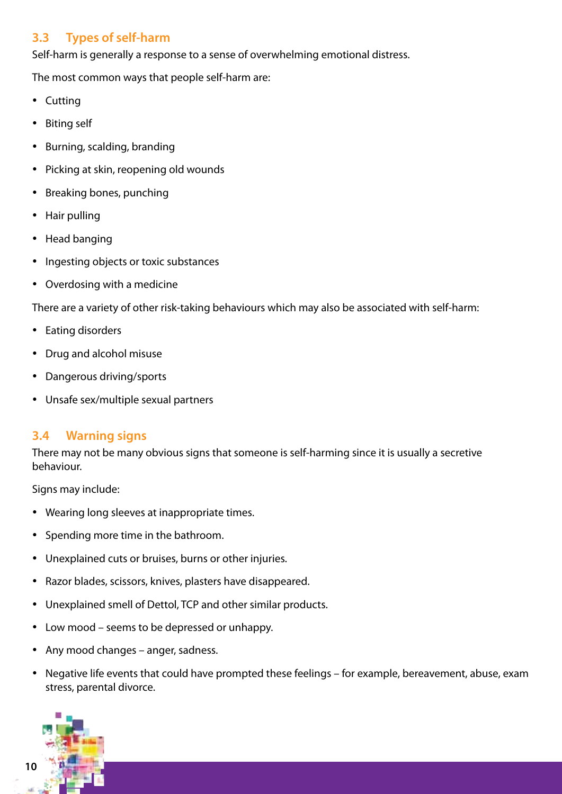# **3.3 Types of self-harm**

Self-harm is generally a response to a sense of overwhelming emotional distress.

The most common ways that people self-harm are:

- Cutting
- Biting self
- • Burning, scalding, branding
- Picking at skin, reopening old wounds
- Breaking bones, punching
- Hair pulling
- Head banging
- Ingesting objects or toxic substances
- • Overdosing with a medicine

There are a variety of other risk-taking behaviours which may also be associated with self-harm:

- Eating disorders
- Drug and alcohol misuse
- • Dangerous driving/sports
- • Unsafe sex/multiple sexual partners

### **3.4 Warning signs**

There may not be many obvious signs that someone is self-harming since it is usually a secretive behaviour.

Signs may include:

- Wearing long sleeves at inappropriate times.
- • Spending more time in the bathroom.
- • Unexplained cuts or bruises, burns or other injuries.
- Razor blades, scissors, knives, plasters have disappeared.
- Unexplained smell of Dettol, TCP and other similar products.
- Low mood seems to be depressed or unhappy.
- Any mood changes anger, sadness.
- Negative life events that could have prompted these feelings for example, bereavement, abuse, exam stress, parental divorce.

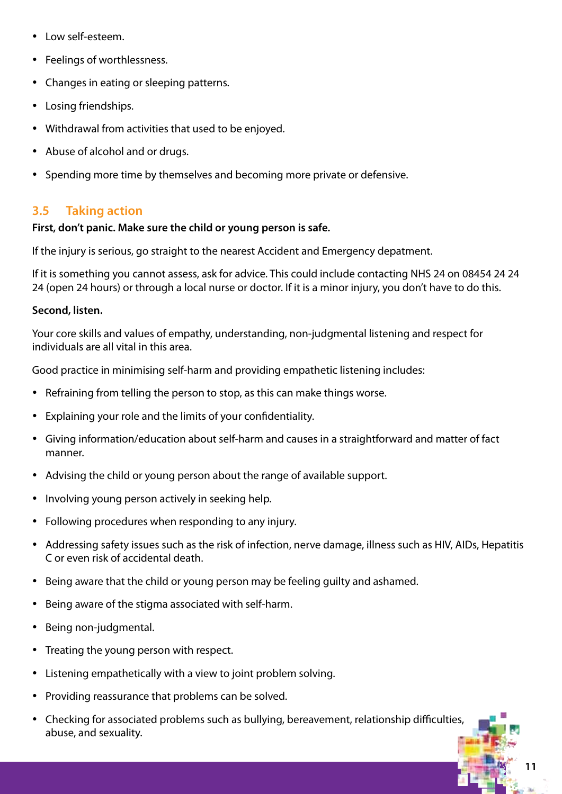- Low self-esteem.
- Feelings of worthlessness.
- Changes in eating or sleeping patterns.
- Losing friendships.
- Withdrawal from activities that used to be enjoyed.
- Abuse of alcohol and or drugs.
- Spending more time by themselves and becoming more private or defensive.

### **3.5 Taking action**

### **First, don't panic. Make sure the child or young person is safe.**

If the injury is serious, go straight to the nearest Accident and Emergency depatment.

If it is something you cannot assess, ask for advice. This could include contacting NHS 24 on 08454 24 24 24 (open 24 hours) or through a local nurse or doctor. If it is a minor injury, you don't have to do this.

### **Second, listen.**

Your core skills and values of empathy, understanding, non-judgmental listening and respect for individuals are all vital in this area.

Good practice in minimising self-harm and providing empathetic listening includes:

- Refraining from telling the person to stop, as this can make things worse.
- Explaining your role and the limits of your confidentiality.
- • Giving information/education about self-harm and causes in a straightforward and matter of fact manner.
- Advising the child or young person about the range of available support.
- Involving young person actively in seeking help.
- Following procedures when responding to any injury.
- • Addressing safety issues such as the risk of infection, nerve damage, illness such as HIV, AIDs, Hepatitis C or even risk of accidental death.
- Being aware that the child or young person may be feeling guilty and ashamed.
- • Being aware of the stigma associated with self-harm.
- • Being non-judgmental.
- Treating the young person with respect.
- Listening empathetically with a view to joint problem solving.
- Providing reassurance that problems can be solved.
- Checking for associated problems such as bullying, bereavement, relationship difficulties, abuse, and sexuality.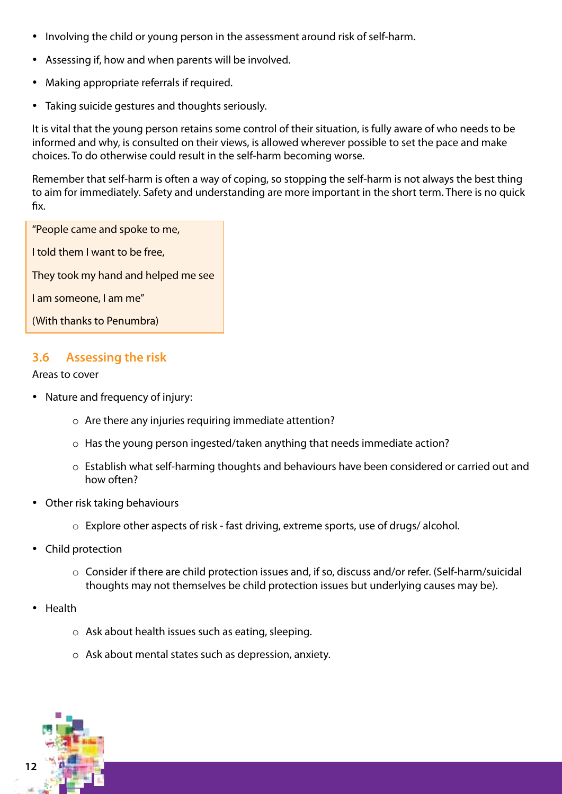- Involving the child or young person in the assessment around risk of self-harm.
- Assessing if, how and when parents will be involved.
- Making appropriate referrals if required.
- Taking suicide gestures and thoughts seriously.

It is vital that the young person retains some control of their situation, is fully aware of who needs to be informed and why, is consulted on their views, is allowed wherever possible to set the pace and make choices. To do otherwise could result in the self-harm becoming worse.

Remember that self-harm is often a way of coping, so stopping the self-harm is not always the best thing to aim for immediately. Safety and understanding are more important in the short term. There is no quick fix.

| "People came and spoke to me,       |
|-------------------------------------|
| I told them I want to be free,      |
| They took my hand and helped me see |
| I am someone, I am me"              |
| (With thanks to Penumbra)           |

## **3.6 Assessing the risk**

#### Areas to cover

- Nature and frequency of injury:
	- o Are there any injuries requiring immediate attention?
	- o Has the young person ingested/taken anything that needs immediate action?
	- o Establish what self-harming thoughts and behaviours have been considered or carried out and how often?
- Other risk taking behaviours
	- o Explore other aspects of risk fast driving, extreme sports, use of drugs/ alcohol.
- Child protection
	- o Consider if there are child protection issues and, if so, discuss and/or refer. (Self-harm/suicidal thoughts may not themselves be child protection issues but underlying causes may be).
- Health
	- o Ask about health issues such as eating, sleeping.
	- o Ask about mental states such as depression, anxiety.

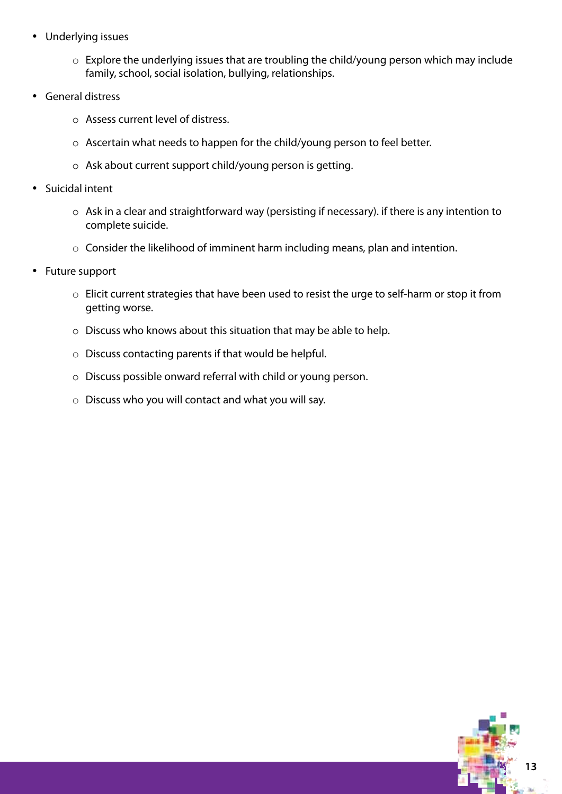- • Underlying issues
	- o Explore the underlying issues that are troubling the child/young person which may include family, school, social isolation, bullying, relationships.
- • General distress
	- o Assess current level of distress.
	- o Ascertain what needs to happen for the child/young person to feel better.
	- o Ask about current support child/young person is getting.
- Suicidal intent
	- o Ask in a clear and straightforward way (persisting if necessary). if there is any intention to complete suicide.
	- o Consider the likelihood of imminent harm including means, plan and intention.
- Future support
	- o Elicit current strategies that have been used to resist the urge to self-harm or stop it from getting worse.
	- o Discuss who knows about this situation that may be able to help.
	- o Discuss contacting parents if that would be helpful.
	- o Discuss possible onward referral with child or young person.
	- o Discuss who you will contact and what you will say.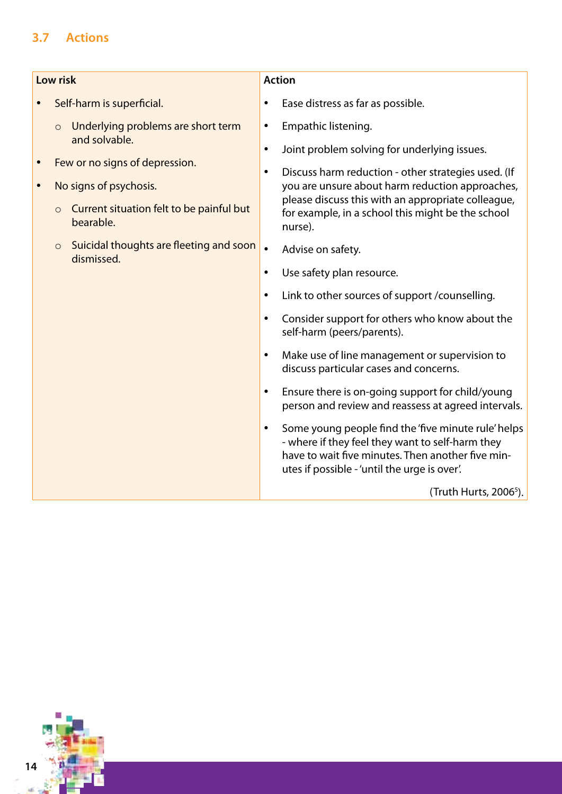# **3.7 Actions**

| Low risk  |                                                                                                                                                                                                                                                                    | <b>Action</b>                                                                                                                                                                                                                                                                                                                                                                                                                                                                                                                                                                                                                                                                                                                                                                                                                                                                                                                                                                                                                                    |  |
|-----------|--------------------------------------------------------------------------------------------------------------------------------------------------------------------------------------------------------------------------------------------------------------------|--------------------------------------------------------------------------------------------------------------------------------------------------------------------------------------------------------------------------------------------------------------------------------------------------------------------------------------------------------------------------------------------------------------------------------------------------------------------------------------------------------------------------------------------------------------------------------------------------------------------------------------------------------------------------------------------------------------------------------------------------------------------------------------------------------------------------------------------------------------------------------------------------------------------------------------------------------------------------------------------------------------------------------------------------|--|
|           | Self-harm is superficial.                                                                                                                                                                                                                                          | Ease distress as far as possible.<br>٠                                                                                                                                                                                                                                                                                                                                                                                                                                                                                                                                                                                                                                                                                                                                                                                                                                                                                                                                                                                                           |  |
| $\bullet$ | Underlying problems are short term<br>$\circ$<br>and solvable.<br>Few or no signs of depression.<br>No signs of psychosis.<br>Current situation felt to be painful but<br>$\circ$<br>bearable.<br>Suicidal thoughts are fleeting and soon<br>$\circ$<br>dismissed. | Empathic listening.<br>$\bullet$<br>Joint problem solving for underlying issues.<br>$\bullet$<br>Discuss harm reduction - other strategies used. (If<br>$\bullet$<br>you are unsure about harm reduction approaches,<br>please discuss this with an appropriate colleague,<br>for example, in a school this might be the school<br>nurse).<br>$\bullet$<br>Advise on safety.<br>Use safety plan resource.<br>$\bullet$<br>Link to other sources of support / counselling.<br>$\bullet$<br>Consider support for others who know about the<br>$\bullet$<br>self-harm (peers/parents).<br>Make use of line management or supervision to<br>$\bullet$<br>discuss particular cases and concerns.<br>Ensure there is on-going support for child/young<br>$\bullet$<br>person and review and reassess at agreed intervals.<br>Some young people find the 'five minute rule' helps<br>$\bullet$<br>- where if they feel they want to self-harm they<br>have to wait five minutes. Then another five min-<br>utes if possible - 'until the urge is over'. |  |
|           |                                                                                                                                                                                                                                                                    | (Truth Hurts, 2006 <sup>5</sup> ).                                                                                                                                                                                                                                                                                                                                                                                                                                                                                                                                                                                                                                                                                                                                                                                                                                                                                                                                                                                                               |  |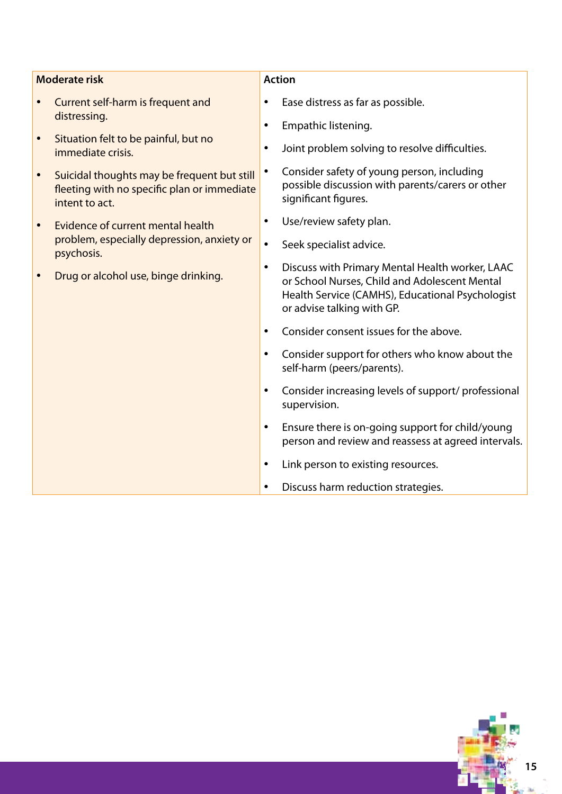| <b>Moderate risk</b> |                                                                                                              | <b>Action</b> |                                                                                                                                                                                    |
|----------------------|--------------------------------------------------------------------------------------------------------------|---------------|------------------------------------------------------------------------------------------------------------------------------------------------------------------------------------|
|                      | Current self-harm is frequent and<br>distressing.                                                            | ٠             | Ease distress as far as possible.                                                                                                                                                  |
|                      | Situation felt to be painful, but no                                                                         |               | Empathic listening.                                                                                                                                                                |
|                      | immediate crisis.                                                                                            | ٠             | Joint problem solving to resolve difficulties.                                                                                                                                     |
|                      | Suicidal thoughts may be frequent but still<br>fleeting with no specific plan or immediate<br>intent to act. | ٠             | Consider safety of young person, including<br>possible discussion with parents/carers or other<br>significant figures.                                                             |
|                      | Evidence of current mental health                                                                            | ٠             | Use/review safety plan.                                                                                                                                                            |
|                      | problem, especially depression, anxiety or<br>psychosis.                                                     | $\bullet$     | Seek specialist advice.                                                                                                                                                            |
|                      | Drug or alcohol use, binge drinking.                                                                         | $\bullet$     | Discuss with Primary Mental Health worker, LAAC<br>or School Nurses, Child and Adolescent Mental<br>Health Service (CAMHS), Educational Psychologist<br>or advise talking with GP. |
|                      |                                                                                                              | ٠             | Consider consent issues for the above.                                                                                                                                             |
|                      |                                                                                                              | ٠             | Consider support for others who know about the<br>self-harm (peers/parents).                                                                                                       |
|                      |                                                                                                              | $\bullet$     | Consider increasing levels of support/ professional<br>supervision.                                                                                                                |
|                      |                                                                                                              | ٠             | Ensure there is on-going support for child/young<br>person and review and reassess at agreed intervals.                                                                            |
|                      |                                                                                                              | $\bullet$     | Link person to existing resources.                                                                                                                                                 |
|                      |                                                                                                              |               | Discuss harm reduction strategies.                                                                                                                                                 |

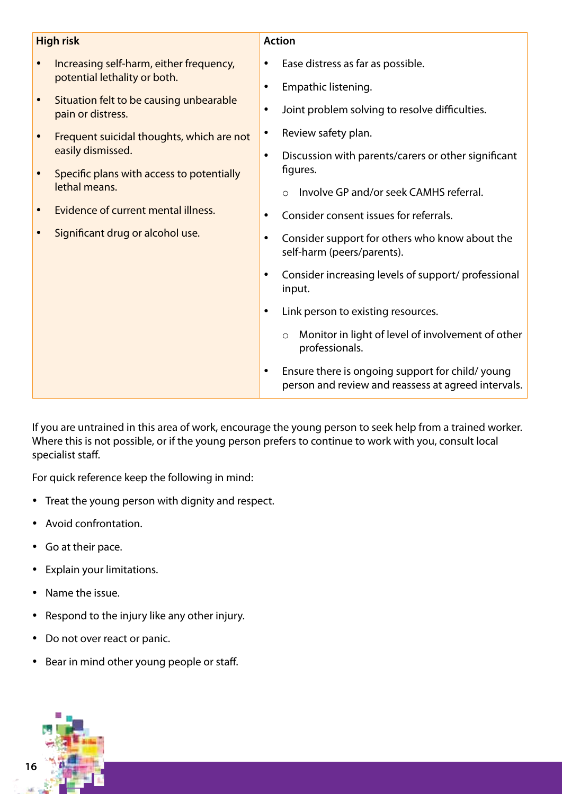| <b>High risk</b> |                                                                | <b>Action</b> |                                                                                                        |
|------------------|----------------------------------------------------------------|---------------|--------------------------------------------------------------------------------------------------------|
|                  | Increasing self-harm, either frequency,                        | ٠             | Ease distress as far as possible.                                                                      |
|                  | potential lethality or both.                                   | $\bullet$     | Empathic listening.                                                                                    |
|                  | Situation felt to be causing unbearable<br>pain or distress.   | $\bullet$     | Joint problem solving to resolve difficulties.                                                         |
|                  | Frequent suicidal thoughts, which are not<br>easily dismissed. | $\bullet$     | Review safety plan.                                                                                    |
|                  |                                                                | $\bullet$     | Discussion with parents/carers or other significant                                                    |
|                  | Specific plans with access to potentially<br>lethal means.     |               | figures.                                                                                               |
|                  |                                                                |               | Involve GP and/or seek CAMHS referral.                                                                 |
|                  | Evidence of current mental illness.                            | $\bullet$     | Consider consent issues for referrals.                                                                 |
|                  | Significant drug or alcohol use.                               | $\bullet$     | Consider support for others who know about the<br>self-harm (peers/parents).                           |
|                  |                                                                | $\bullet$     | Consider increasing levels of support/ professional<br>input.                                          |
|                  |                                                                | $\bullet$     | Link person to existing resources.                                                                     |
|                  |                                                                |               | Monitor in light of level of involvement of other<br>$\circ$<br>professionals.                         |
|                  |                                                                | $\bullet$     | Ensure there is ongoing support for child/young<br>person and review and reassess at agreed intervals. |

If you are untrained in this area of work, encourage the young person to seek help from a trained worker. Where this is not possible, or if the young person prefers to continue to work with you, consult local specialist staff.

For quick reference keep the following in mind:

- • Treat the young person with dignity and respect.
- • Avoid confrontation.
- • Go at their pace.
- • Explain your limitations.
- Name the issue.
- • Respond to the injury like any other injury.
- Do not over react or panic.
- Bear in mind other young people or staff.

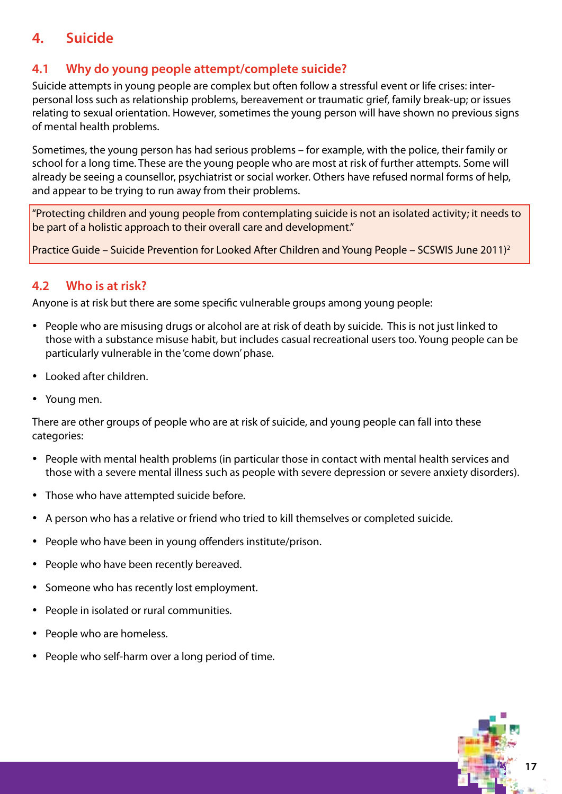# **4. Suicide**

# **4.1 Why do young people attempt/complete suicide?**

Suicide attempts in young people are complex but often follow a stressful event or life crises: interpersonal loss such as relationship problems, bereavement or traumatic grief, family break-up; or issues relating to sexual orientation. However, sometimes the young person will have shown no previous signs of mental health problems.

Sometimes, the young person has had serious problems – for example, with the police, their family or school for a long time. These are the young people who are most at risk of further attempts. Some will already be seeing a counsellor, psychiatrist or social worker. Others have refused normal forms of help, and appear to be trying to run away from their problems.

"Protecting children and young people from contemplating suicide is not an isolated activity; it needs to be part of a holistic approach to their overall care and development."

Practice Guide – Suicide Prevention for Looked After Children and Young People – SCSWIS June 2011)2

# **4.2 Who is at risk?**

Anyone is at risk but there are some specific vulnerable groups among young people:

- People who are misusing drugs or alcohol are at risk of death by suicide. This is not just linked to those with a substance misuse habit, but includes casual recreational users too. Young people can be particularly vulnerable in the 'come down' phase.
- Looked after children.
- Young men.

There are other groups of people who are at risk of suicide, and young people can fall into these categories:

- People with mental health problems (in particular those in contact with mental health services and those with a severe mental illness such as people with severe depression or severe anxiety disorders).
- Those who have attempted suicide before.
- A person who has a relative or friend who tried to kill themselves or completed suicide.
- People who have been in young offenders institute/prison.
- People who have been recently bereaved.
- Someone who has recently lost employment.
- • People in isolated or rural communities.
- People who are homeless.
- People who self-harm over a long period of time.

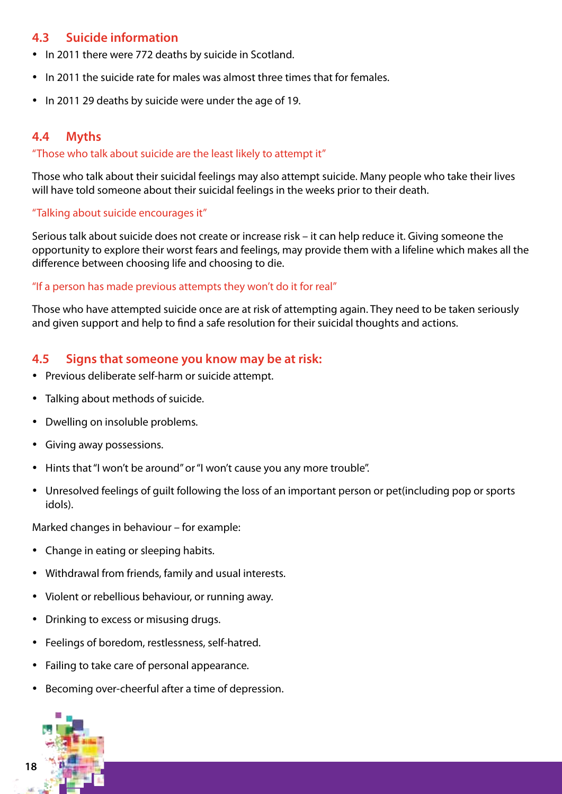## **4.3 Suicide information**

- In 2011 there were 772 deaths by suicide in Scotland.
- In 2011 the suicide rate for males was almost three times that for females.
- In 2011 29 deaths by suicide were under the age of 19.

## **4.4 Myths**

### "Those who talk about suicide are the least likely to attempt it"

Those who talk about their suicidal feelings may also attempt suicide. Many people who take their lives will have told someone about their suicidal feelings in the weeks prior to their death.

### "Talking about suicide encourages it"

Serious talk about suicide does not create or increase risk – it can help reduce it. Giving someone the opportunity to explore their worst fears and feelings, may provide them with a lifeline which makes all the difference between choosing life and choosing to die.

### "If a person has made previous attempts they won't do it for real"

Those who have attempted suicide once are at risk of attempting again. They need to be taken seriously and given support and help to find a safe resolution for their suicidal thoughts and actions.

### **4.5 Signs that someone you know may be at risk:**

- Previous deliberate self-harm or suicide attempt.
- Talking about methods of suicide.
- Dwelling on insoluble problems.
- • Giving away possessions.
- Hints that "I won't be around" or "I won't cause you any more trouble".
- Unresolved feelings of quilt following the loss of an important person or pet(including pop or sports idols).

Marked changes in behaviour – for example:

- Change in eating or sleeping habits.
- • Withdrawal from friends, family and usual interests.
- Violent or rebellious behaviour, or running away.
- • Drinking to excess or misusing drugs.
- • Feelings of boredom, restlessness, self-hatred.
- Failing to take care of personal appearance.
- • Becoming over-cheerful after a time of depression.

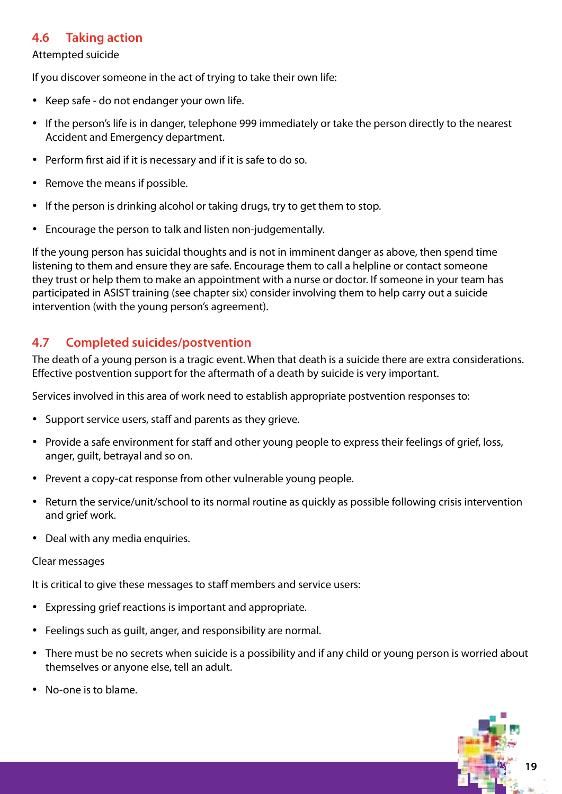## **4.6 Taking action**

#### Attempted suicide

If you discover someone in the act of trying to take their own life:

- Keep safe do not endanger your own life.
- If the person's life is in danger, telephone 999 immediately or take the person directly to the nearest Accident and Emergency department.
- Perform first aid if it is necessary and if it is safe to do so.
- Remove the means if possible.
- If the person is drinking alcohol or taking drugs, try to get them to stop.
- Encourage the person to talk and listen non-judgementally.

If the young person has suicidal thoughts and is not in imminent danger as above, then spend time listening to them and ensure they are safe. Encourage them to call a helpline or contact someone they trust or help them to make an appointment with a nurse or doctor. If someone in your team has participated in ASIST training (see chapter six) consider involving them to help carry out a suicide intervention (with the young person's agreement).

### **4.7 Completed suicides/postvention**

The death of a young person is a tragic event. When that death is a suicide there are extra considerations. Effective postvention support for the aftermath of a death by suicide is very important.

Services involved in this area of work need to establish appropriate postvention responses to:

- Support service users, staff and parents as they grieve.
- Provide a safe environment for staff and other young people to express their feelings of grief, loss, anger, guilt, betrayal and so on.
- Prevent a copy-cat response from other vulnerable young people.
- • Return the service/unit/school to its normal routine as quickly as possible following crisis intervention and grief work.
- Deal with any media enquiries.

#### Clear messages

It is critical to give these messages to staff members and service users:

- Expressing grief reactions is important and appropriate.
- Feelings such as quilt, anger, and responsibility are normal.
- There must be no secrets when suicide is a possibility and if any child or young person is worried about themselves or anyone else, tell an adult.
- No-one is to blame.

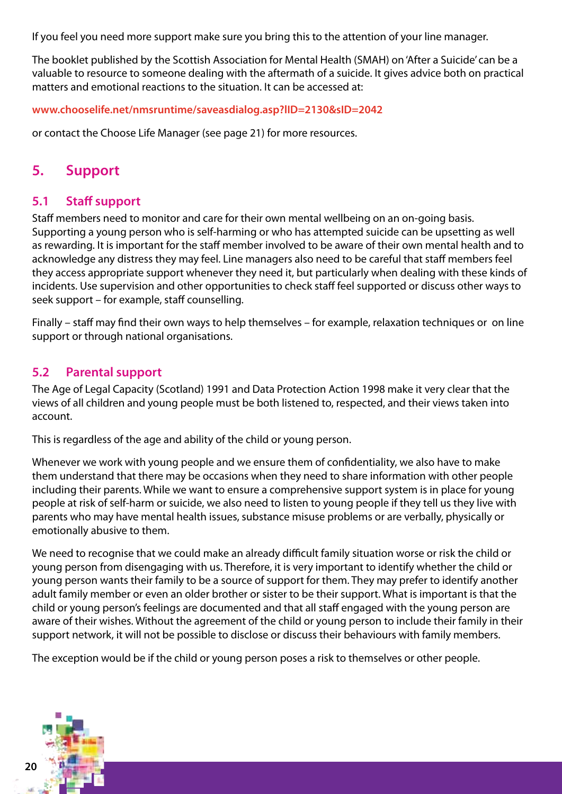If you feel you need more support make sure you bring this to the attention of your line manager.

The booklet published by the Scottish Association for Mental Health (SMAH) on 'After a Suicide' can be a valuable to resource to someone dealing with the aftermath of a suicide. It gives advice both on practical matters and emotional reactions to the situation. It can be accessed at:

**www.chooselife.net/nmsruntime/saveasdialog.asp?lID=2130&sID=2042**

or contact the Choose Life Manager (see page 21) for more resources.

# **5. Support**

### **5.1 Staff support**

Staff members need to monitor and care for their own mental wellbeing on an on-going basis. Supporting a young person who is self-harming or who has attempted suicide can be upsetting as well as rewarding. It is important for the staff member involved to be aware of their own mental health and to acknowledge any distress they may feel. Line managers also need to be careful that staff members feel they access appropriate support whenever they need it, but particularly when dealing with these kinds of incidents. Use supervision and other opportunities to check staff feel supported or discuss other ways to seek support – for example, staff counselling.

Finally – staff may find their own ways to help themselves – for example, relaxation techniques or on line support or through national organisations.

### **5.2 Parental support**

The Age of Legal Capacity (Scotland) 1991 and Data Protection Action 1998 make it very clear that the views of all children and young people must be both listened to, respected, and their views taken into account.

This is regardless of the age and ability of the child or young person.

Whenever we work with young people and we ensure them of confidentiality, we also have to make them understand that there may be occasions when they need to share information with other people including their parents. While we want to ensure a comprehensive support system is in place for young people at risk of self-harm or suicide, we also need to listen to young people if they tell us they live with parents who may have mental health issues, substance misuse problems or are verbally, physically or emotionally abusive to them.

We need to recognise that we could make an already difficult family situation worse or risk the child or young person from disengaging with us. Therefore, it is very important to identify whether the child or young person wants their family to be a source of support for them. They may prefer to identify another adult family member or even an older brother or sister to be their support. What is important is that the child or young person's feelings are documented and that all staff engaged with the young person are aware of their wishes. Without the agreement of the child or young person to include their family in their support network, it will not be possible to disclose or discuss their behaviours with family members.

The exception would be if the child or young person poses a risk to themselves or other people.

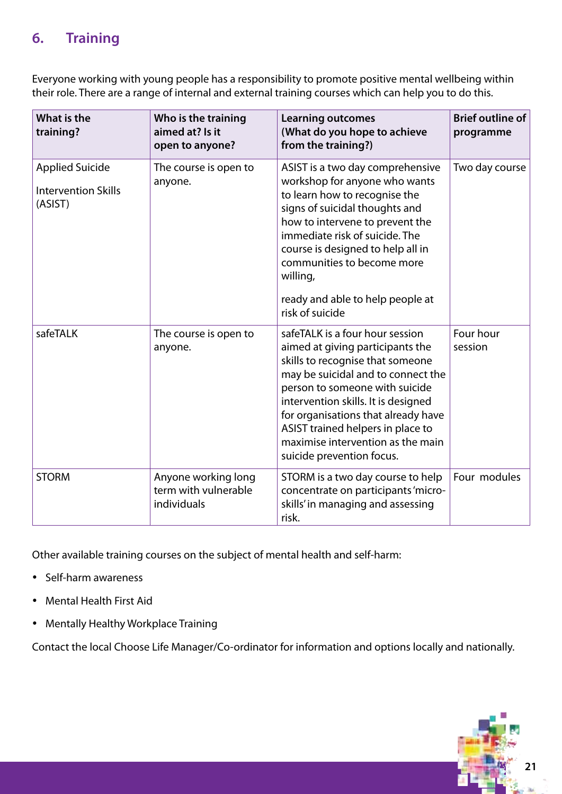# **6. Training**

Everyone working with young people has a responsibility to promote positive mental wellbeing within their role. There are a range of internal and external training courses which can help you to do this.

| What is the<br>training?                                        | Who is the training<br>aimed at? Is it<br>open to anyone?  | <b>Learning outcomes</b><br>(What do you hope to achieve<br>from the training?)                                                                                                                                                                                                                                                                                      | <b>Brief outline of</b><br>programme |
|-----------------------------------------------------------------|------------------------------------------------------------|----------------------------------------------------------------------------------------------------------------------------------------------------------------------------------------------------------------------------------------------------------------------------------------------------------------------------------------------------------------------|--------------------------------------|
| <b>Applied Suicide</b><br><b>Intervention Skills</b><br>(ASIST) | The course is open to<br>anyone.                           | ASIST is a two day comprehensive<br>workshop for anyone who wants<br>to learn how to recognise the<br>signs of suicidal thoughts and<br>how to intervene to prevent the<br>immediate risk of suicide. The<br>course is designed to help all in<br>communities to become more<br>willing,<br>ready and able to help people at<br>risk of suicide                      | Two day course                       |
| safeTALK                                                        | The course is open to<br>anyone.                           | safeTALK is a four hour session<br>aimed at giving participants the<br>skills to recognise that someone<br>may be suicidal and to connect the<br>person to someone with suicide<br>intervention skills. It is designed<br>for organisations that already have<br>ASIST trained helpers in place to<br>maximise intervention as the main<br>suicide prevention focus. | Four hour<br>session                 |
| <b>STORM</b>                                                    | Anyone working long<br>term with vulnerable<br>individuals | STORM is a two day course to help<br>concentrate on participants 'micro-<br>skills' in managing and assessing<br>risk.                                                                                                                                                                                                                                               | Four modules                         |

Other available training courses on the subject of mental health and self-harm:

- Self-harm awareness
- • Mental Health First Aid
- • Mentally Healthy Workplace Training

Contact the local Choose Life Manager/Co-ordinator for information and options locally and nationally.

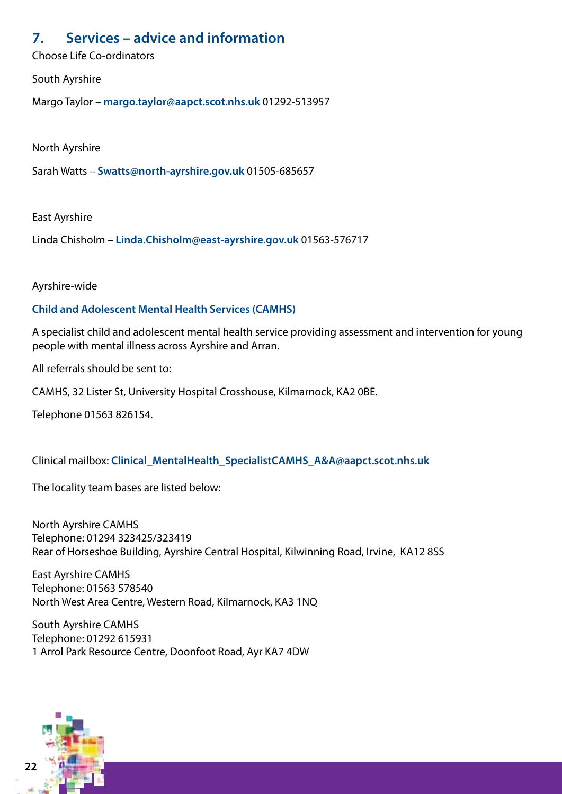# **7. Services – advice and information**

Choose Life Co-ordinators

South Ayrshire

Margo Taylor – **margo.taylor@aapct.scot.nhs.uk** 01292-513957

North Ayrshire

Sarah Watts – **Swatts@north-ayrshire.gov.uk** 01505-685657

East Ayrshire

Linda Chisholm – **Linda.Chisholm@east-ayrshire.gov.uk** 01563-576717

Ayrshire-wide

### **Child and Adolescent Mental Health Services (CAMHS)**

A specialist child and adolescent mental health service providing assessment and intervention for young people with mental illness across Ayrshire and Arran.

All referrals should be sent to:

CAMHS, 32 Lister St, University Hospital Crosshouse, Kilmarnock, KA2 0BE.

Telephone 01563 826154.

Clinical mailbox: **Clinical\_MentalHealth\_SpecialistCAMHS\_A&A@aapct.scot.nhs.uk**

The locality team bases are listed below:

North Ayrshire CAMHS Telephone: 01294 323425/323419 Rear of Horseshoe Building, Ayrshire Central Hospital, Kilwinning Road, Irvine, KA12 8SS

East Ayrshire CAMHS Telephone: 01563 578540 North West Area Centre, Western Road, Kilmarnock, KA3 1NQ

South Ayrshire CAMHS Telephone: 01292 615931 1 Arrol Park Resource Centre, Doonfoot Road, Ayr KA7 4DW

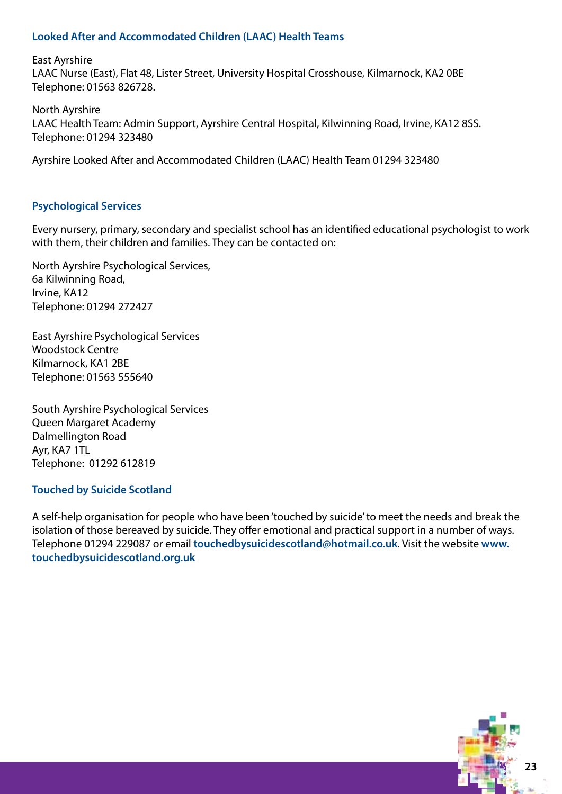### **Looked After and Accommodated Children (LAAC) Health Teams**

East Ayrshire LAAC Nurse (East), Flat 48, Lister Street, University Hospital Crosshouse, Kilmarnock, KA2 0BE Telephone: 01563 826728.

North Ayrshire LAAC Health Team: Admin Support, Ayrshire Central Hospital, Kilwinning Road, Irvine, KA12 8SS. Telephone: 01294 323480

Ayrshire Looked After and Accommodated Children (LAAC) Health Team 01294 323480

#### **Psychological Services**

Every nursery, primary, secondary and specialist school has an identified educational psychologist to work with them, their children and families. They can be contacted on:

North Ayrshire Psychological Services, 6a Kilwinning Road, Irvine, KA12 Telephone: 01294 272427

East Ayrshire Psychological Services Woodstock Centre Kilmarnock, KA1 2BE Telephone: 01563 555640

South Ayrshire Psychological Services Queen Margaret Academy Dalmellington Road Ayr, KA7 1TL Telephone: 01292 612819

### **Touched by Suicide Scotland**

A self-help organisation for people who have been 'touched by suicide' to meet the needs and break the isolation of those bereaved by suicide. They offer emotional and practical support in a number of ways. Telephone 01294 229087 or email **touchedbysuicidescotland@hotmail.co.uk**. Visit the website **www. touchedbysuicidescotland.org.uk**

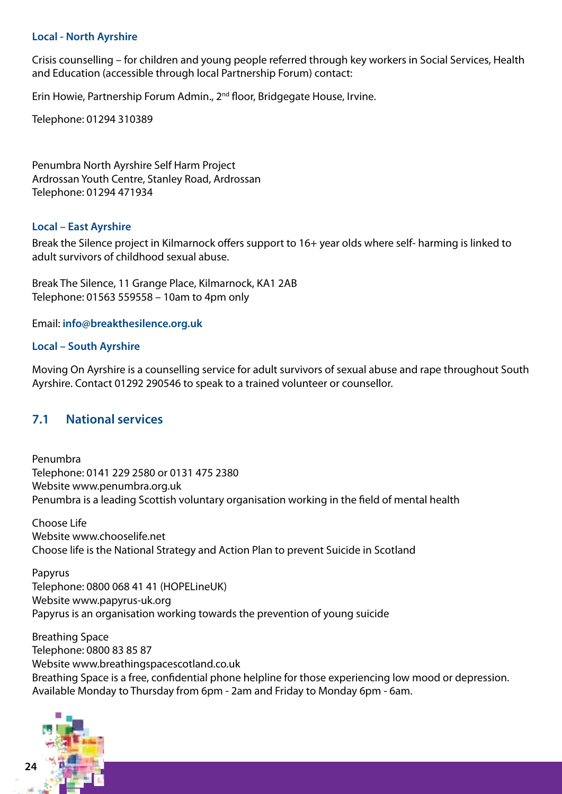#### **Local - North Ayrshire**

Crisis counselling – for children and young people referred through key workers in Social Services, Health and Education (accessible through local Partnership Forum) contact:

Erin Howie, Partnership Forum Admin., 2nd floor, Bridgegate House, Irvine.

Telephone: 01294 310389

Penumbra North Ayrshire Self Harm Project Ardrossan Youth Centre, Stanley Road, Ardrossan Telephone: 01294 471934

#### **Local – East Ayrshire**

Break the Silence project in Kilmarnock offers support to 16+ year olds where self- harming is linked to adult survivors of childhood sexual abuse.

Break The Silence, 11 Grange Place, Kilmarnock, KA1 2AB Telephone: 01563 559558 – 10am to 4pm only

Email: **info@breakthesilence.org.uk**

#### **Local – South Ayrshire**

Moving On Ayrshire is a counselling service for adult survivors of sexual abuse and rape throughout South Ayrshire. Contact 01292 290546 to speak to a trained volunteer or counsellor.

### **7.1 National services**

Penumbra Telephone: 0141 229 2580 or 0131 475 2380 Website www.penumbra.org.uk Penumbra is a leading Scottish voluntary organisation working in the field of mental health

Choose Life Website www.chooselife.net Choose life is the National Strategy and Action Plan to prevent Suicide in Scotland

Papyrus Telephone: 0800 068 41 41 (HOPELineUK) Website www.papyrus-uk.org Papyrus is an organisation working towards the prevention of young suicide

Breathing Space Telephone: 0800 83 85 87 Website www.breathingspacescotland.co.uk Breathing Space is a free, confidential phone helpline for those experiencing low mood or depression. Available Monday to Thursday from 6pm - 2am and Friday to Monday 6pm - 6am.